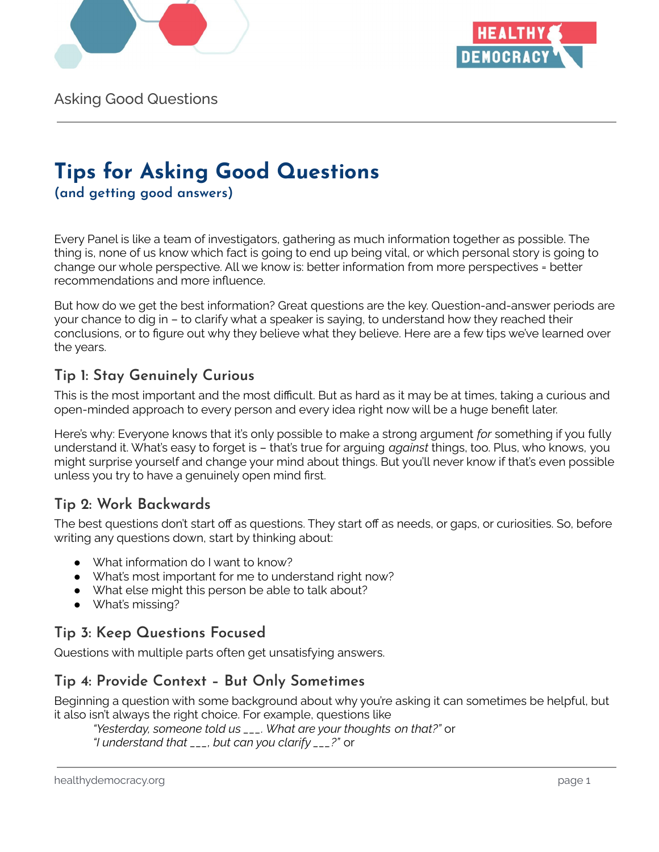



Asking Good Questions

# **Tips for Asking Good Questions**

**(and getting good answers)**

Every Panel is like a team of investigators, gathering as much information together as possible. The thing is, none of us know which fact is going to end up being vital, or which personal story is going to change our whole perspective. All we know is: better information from more perspectives = better recommendations and more influence.

But how do we get the best information? Great questions are the key. Question-and-answer periods are your chance to dig in – to clarify what a speaker is saying, to understand how they reached their conclusions, or to figure out why they believe what they believe. Here are a few tips we've learned over the years.

#### **Tip 1: Stay Genuinely Curious**

This is the most important and the most difficult. But as hard as it may be at times, taking a curious and open-minded approach to every person and every idea right now will be a huge benefit later.

Here's why: Everyone knows that it's only possible to make a strong argument *for* something if you fully understand it. What's easy to forget is – that's true for arguing *against* things, too. Plus, who knows, you might surprise yourself and change your mind about things. But you'll never know if that's even possible unless you try to have a genuinely open mind first.

## **Tip 2: Work Backwards**

The best questions don't start off as questions. They start off as needs, or gaps, or curiosities. So, before writing any questions down, start by thinking about:

- What information do I want to know?
- What's most important for me to understand right now?
- What else might this person be able to talk about?
- What's missing?

## **Tip 3: Keep Questions Focused**

Questions with multiple parts often get unsatisfying answers.

#### **Tip 4: Provide Context – But Only Sometimes**

Beginning a question with some background about why you're asking it can sometimes be helpful, but it also isn't always the right choice. For example, questions like

*"Yesterday, someone told us \_\_\_. What are your thoughts on that?"* or *"I understand that \_\_\_, but can you clarify \_\_\_?"* or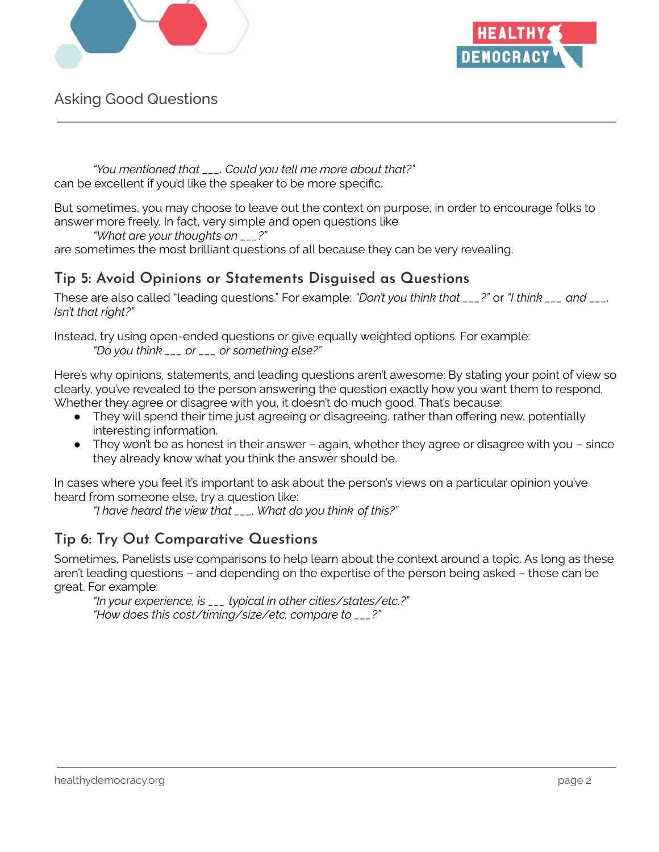



Asking Good Questions

*"You mentioned that \_\_\_. Could you tell me more about that?"* can be excellent if you'd like the speaker to be more specific.

But sometimes, you may choose to leave out the context on purpose, in order to encourage folks to answer more freely. In fact, very simple and open questions like

*"What are your thoughts on \_\_\_?"*

are sometimes the most brilliant questions of all because they can be very revealing.

#### **Tip 5: Avoid Opinions or Statements Disguised as Questions**

These are also called "leading questions." For example: *"Don't you think that \_\_\_?"* or *"I think \_\_\_ and \_\_\_. Isn't that right?"*

Instead, try using open-ended questions or give equally weighted options. For example: *"Do you think \_\_\_ or \_\_\_ or something else?"*

Here's why opinions, statements, and leading questions aren't awesome: By stating your point of view so clearly, you've revealed to the person answering the question exactly how you want them to respond. Whether they agree or disagree with you, it doesn't do much good. That's because:

- They will spend their time just agreeing or disagreeing, rather than offering new, potentially interesting information.
- $\bullet$  They won't be as honest in their answer again, whether they agree or disagree with you since they already know what you think the answer should be.

In cases where you feel it's important to ask about the person's views on a particular opinion you've heard from someone else, try a question like:

*"I have heard the view that \_\_\_. What do you think of this?"*

#### **Tip 6: Try Out Comparative Questions**

Sometimes, Panelists use comparisons to help learn about the context around a topic. As long as these aren't leading questions – and depending on the expertise of the person being asked – these can be great. For example:

*"In your experience, is \_\_\_ typical in other cities/states/etc.?" "How does this cost/timing/size/etc. compare to \_\_\_?"*